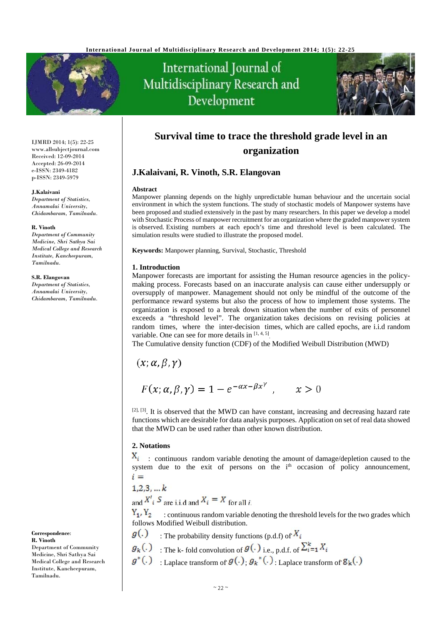

# International Journal of Multidisciplinary Research and Development



IJMRD 2014; 1(5): 22-25 www.allsubjectjournal.com Received: 12-09-2014 Accepted: 26-09-2014 e-ISSN: 2349-4182 p-ISSN: 2349-5979

#### **J.Kalaivani**

*Department of Statistics, Annamalai University, Chidambaram, Tamilnadu.* 

#### **R. Vinoth**

*Department of Community Medicine, Shri Sathya Sai Medical College and Research Institute, Kancheepuram, Tamilnadu.*

#### **S.R. Elangovan**

*Department of Statistics, Annamalai University, Chidambaram, Tamilnadu.*

**Correspondence**: **R. Vinoth** Department of Community Medicine, Shri Sathya Sai Medical College and Research Institute, Kancheepuram, Tamilnadu.

# **Survival time to trace the threshold grade level in an organization**

# **J.Kalaivani, R. Vinoth, S.R. Elangovan**

#### **Abstract**

Manpower planning depends on the highly unpredictable human behaviour and the uncertain social environment in which the system functions. The study of stochastic models of Manpower systems have been proposed and studied extensively in the past by many researchers. In this paper we develop a model with Stochastic Process of manpower recruitment for an organization where the graded manpower system is observed. Existing numbers at each epoch's time and threshold level is been calculated. The simulation results were studied to illustrate the proposed model.

**Keywords:** Manpower planning, Survival, Stochastic, Threshold

## **1. Introduction**

Manpower forecasts are important for assisting the Human resource agencies in the policymaking process. Forecasts based on an inaccurate analysis can cause either undersupply or oversupply of manpower. Management should not only be mindful of the outcome of the performance reward systems but also the process of how to implement those systems. The organization is exposed to a break down situation when the number of exits of personnel exceeds a "threshold level". The organization takes decisions on revising policies at random times, where the inter-decision times, which are called epochs, are i.i.d random variable. One can see for more details in  $[1, 4, 5]$ .

The Cumulative density function (CDF) of the Modified Weibull Distribution (MWD)

 $(x; \alpha, \beta, \gamma)$ 

$$
F(x; \alpha, \beta, \gamma) = 1 - e^{-\alpha x - \beta x^{\gamma}}, \qquad x > 0
$$

 $[2, 3]$ . It is observed that the MWD can have constant, increasing and decreasing hazard rate functions which are desirable for data analysis purposes. Application on set of real data showed that the MWD can be used rather than other known distribution.

# **2. Notations**

 $X_i$ : continuous random variable denoting the amount of damage/depletion caused to the system due to the exit of persons on the  $i<sup>th</sup>$  occasion of policy announcement,  $i =$ 

 $1, 2, 3, ... k$ 

and  $X'$ <sub>i</sub>  $S$  are i.i.d and  $X_i = X$  for all *i*.

 $Y_1, Y_2$ : continuous random variable denoting the threshold levels for the two grades which follows Modified Weibull distribution.

- $g(.)$ : The probability density functions (p.d.f) of  $X_i$
- $g_k(.)$  : The k- fold convolution of  $g(.)$  i.e., p.d.f. of  $\sum_{i=1}^k X_i$
- $g^*(.)$  Laplace transform of  $g(.)$ ,  $g_k^*(.)$ , Laplace transform of  $g_k(.)$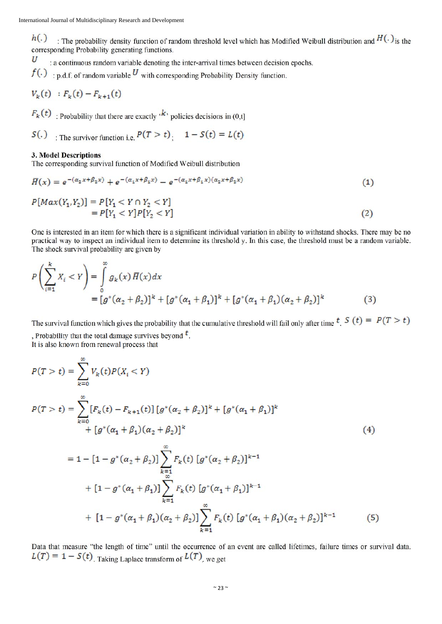$h(.)$ : The probability density function of random threshold level which has Modified Weibull distribution and  $H(.)$  is the corresponding Probability generating functions.

U : a continuous random variable denoting the inter-arrival times between decision epochs.

 $f(.)$ : p.d.f. of random variable  $U$  with corresponding Probability Density function.

$$
V_k(t) : F_k(t) - F_{k+1}(t)
$$

 $F_k(t)$ : Probability that there are exactly  $\cdot^k$  policies decisions in (0,t]

 $S(.)$ : The survivor function i.e.  $P(T > t)$ :  $1 - S(t) = L(t)$ 

# **3. Model Descriptions**

The corresponding survival function of Modified Weibull distribution

$$
\overline{H}(x) = e^{-(\alpha_2 x + \beta_2 x)} + e^{-(\alpha_1 x + \beta_1 x)} - e^{-(\alpha_1 x + \beta_1 x)(\alpha_2 x + \beta_2 x)}
$$
\n(1)

$$
P[Max(Y_1, Y_2)] = P[Y_1 < Y \cap Y_2 < Y] \\
= P[Y_1 < Y]P[Y_2 < Y] \tag{2}
$$

One is interested in an item for which there is a significant individual variation in ability to withstand shocks. There may be no practical way to inspect an individual item to determine its threshold y. In this case, the threshold must be a random variable. The shock survival probability are given by

$$
P\left(\sum_{i=1}^{k} X_i < Y\right) = \int_{0}^{\infty} g_k(x) \, \overline{H}(x) \, dx
$$
\n
$$
= \left[g^*(\alpha_2 + \beta_2)\right]^k + \left[g^*(\alpha_1 + \beta_1)\right]^k + \left[g^*(\alpha_1 + \beta_1)(\alpha_2 + \beta_2)\right]^k \tag{3}
$$

The survival function which gives the probability that the cumulative threshold will fail only after time  $t$ .  $S(t) = P(T > t)$ , Probability that the total damage survives beyond  $t$ .

It is also known from renewal process that

$$
P(T > t) = \sum_{k=0}^{\infty} V_k(t)P(X_i < Y)
$$
  
\n
$$
P(T > t) = \sum_{k=0}^{\infty} [F_k(t) - F_{k+1}(t)][g^*(\alpha_2 + \beta_2)]^k + [g^*(\alpha_1 + \beta_1)]^k
$$
  
\n
$$
+ [g^*(\alpha_1 + \beta_1)(\alpha_2 + \beta_2)]^k
$$
\n(4)

$$
= 1 - [1 - g^*(\alpha_2 + \beta_2)] \sum_{k=1 \atop k=1} F_k(t) [g^*(\alpha_2 + \beta_2)]^{k-1}
$$
  
+ 
$$
[1 - g^*(\alpha_1 + \beta_1)] \sum_{k=1}^{\infty} F_k(t) [g^*(\alpha_1 + \beta_1)]^{k-1}
$$
  
+ 
$$
[1 - g^*(\alpha_1 + \beta_1)(\alpha_2 + \beta_2)] \sum_{k=1}^{\infty} F_k(t) [g^*(\alpha_1 + \beta_1)(\alpha_2 + \beta_2)]^{k-1}
$$
(5)

Data that measure "the length of time" until the occurrence of an event are called lifetimes, failure times or survival data.  $L(T) = 1 - S(t)$ . Taking Laplace transform of  $L(T)$ , we get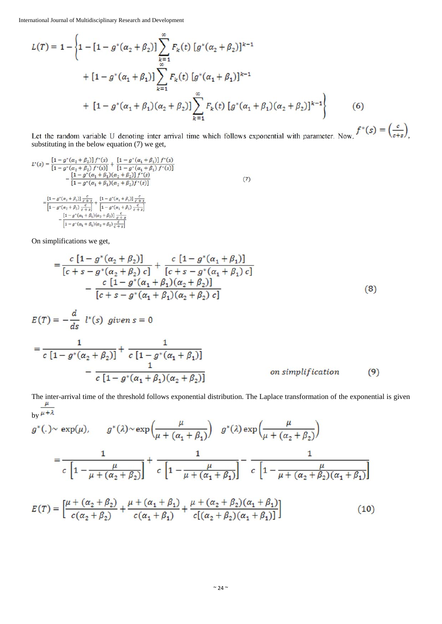International Journal of Multidisciplinary Research and Development

$$
L(T) = 1 - \left\{ 1 - \left[ 1 - g^*(\alpha_2 + \beta_2) \right] \sum_{\substack{k=1 \ k \ge 1}}^{\infty} F_k(t) \left[ g^*(\alpha_2 + \beta_2) \right]^{k-1} + \left[ 1 - g^*(\alpha_1 + \beta_1) \right] \sum_{\substack{k=1 \ k \ge 1}}^{\infty} F_k(t) \left[ g^*(\alpha_1 + \beta_1) \right]^{k-1} + \left[ 1 - g^*(\alpha_1 + \beta_1)(\alpha_2 + \beta_2) \right] \sum_{\substack{k=1 \ k \ge 1}}^{\infty} F_k(t) \left[ g^*(\alpha_1 + \beta_1)(\alpha_2 + \beta_2) \right]^{k-1} \right\} \tag{6}
$$

Let the random variable U denoting inter arrival time which follows exponential with parameter. Now,  $\sqrt{2}$  ( $\epsilon + s$ ), substituting in the below equation (7) we get,

$$
L^*(s) = \frac{\left[1 - g^*(\alpha_2 + \beta_2)\right]f^*(s)}{\left[1 - g^*(\alpha_2 + \beta_2)\right]f^*(s)} + \frac{\left[1 - g^*(\alpha_1 + \beta_1)\right]f^*(s)}{\left[1 - g^*(\alpha_1 + \beta_1)\right]f^*(s)} - \frac{\left[1 - g^*(\alpha_1 + \beta_1)(\alpha_2 + \beta_2)\right]f^*(s)}{\left[1 - g^*(\alpha_1 + \beta_1)(\alpha_2 + \beta_2)f^*(s)\right]} - \frac{\left[1 - g^*(\alpha_1 + \beta_1)(\alpha_2 + \beta_2)f^*(s)\right]}{\left[1 - g^*(\alpha_2 + \beta_2)\right]\frac{c}{c+s}} - \frac{\left[1 - g^*(\alpha_2 + \beta_2)\right]\frac{c}{c+s}}{\left[1 - g^*(\alpha_1 + \beta_1)(\alpha_2 + \beta_2)\right]\frac{c}{c+s}} - \frac{\left[1 - g^*(\alpha_1 + \beta_1)(\alpha_2 + \beta_2)\right]\frac{c}{c+s}}{\left[1 - g^*(\alpha_1 + \beta_1)(\alpha_2 + \beta_2)\frac{c}{c+s}\right]}
$$
(7)

On simplifications we get,

$$
= \frac{c [1 - g^*(\alpha_2 + \beta_2)]}{[c + s - g^*(\alpha_2 + \beta_2) c]} + \frac{c [1 - g^*(\alpha_1 + \beta_1)]}{[c + s - g^*(\alpha_1 + \beta_1) c]} - \frac{c [1 - g^*(\alpha_1 + \beta_1)(\alpha_2 + \beta_2)]}{[c + s - g^*(\alpha_1 + \beta_1)(\alpha_2 + \beta_2) c]}
$$
(8)

$$
E(T) = -\frac{d}{ds} l^*(s) \text{ given } s = 0
$$
  
= 
$$
\frac{1}{c [1 - g^*(\alpha_2 + \beta_2)]} + \frac{1}{c [1 - g^*(\alpha_1 + \beta_1)]}
$$
  

$$
- \frac{1}{c [1 - g^*(\alpha_1 + \beta_1)(\alpha_2 + \beta_2)]}
$$
 on simplification (9)

The inter-arrival time of the threshold follows exponential distribution. The Laplace transformation of the exponential is given  $\frac{\mu}{\sqrt{2\pi}}$ by  $\overline{\mu + \lambda}$ 

$$
g^*(.) \sim \exp(\mu), \qquad g^*(\lambda) \sim \exp\left(\frac{\mu}{\mu + (\alpha_1 + \beta_1)}\right) \quad g^*(\lambda) \exp\left(\frac{\mu}{\mu + (\alpha_2 + \beta_2)}\right)
$$

$$
= \frac{1}{c \left[1 - \frac{\mu}{\mu + (\alpha_2 + \beta_2)}\right]} + \frac{1}{c \left[1 - \frac{\mu}{\mu + (\alpha_1 + \beta_1)}\right]} - \frac{1}{c \left[1 - \frac{\mu}{\mu + (\alpha_2 + \beta_2)(\alpha_1 + \beta_1)}\right]}
$$

$$
E(T) = \left[\frac{\mu + (\alpha_2 + \beta_2)}{c(\alpha_2 + \beta_2)} + \frac{\mu + (\alpha_1 + \beta_1)}{c(\alpha_1 + \beta_1)} + \frac{\mu + (\alpha_2 + \beta_2)(\alpha_1 + \beta_1)}{c[(\alpha_2 + \beta_2)(\alpha_1 + \beta_1)]}\right]
$$
(10)